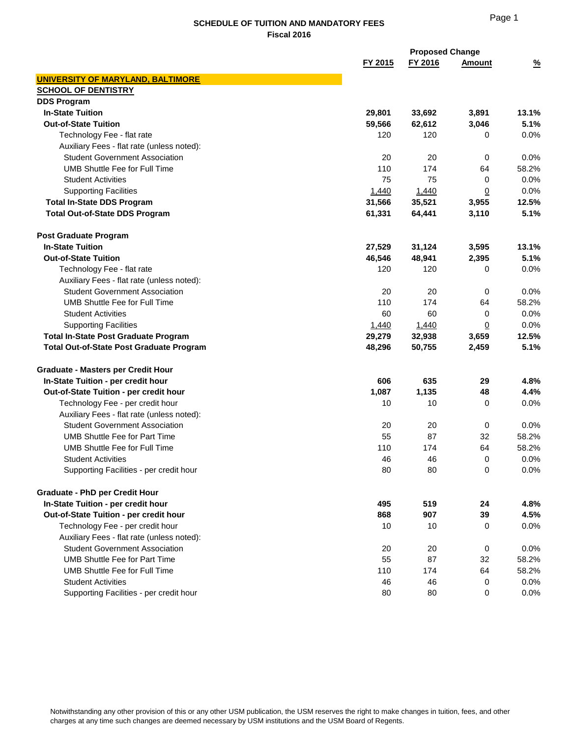|                                                 |         | <b>Proposed Change</b> |               |               |
|-------------------------------------------------|---------|------------------------|---------------|---------------|
|                                                 | FY 2015 | FY 2016                | <b>Amount</b> | $\frac{9}{6}$ |
| <b>UNIVERSITY OF MARYLAND, BALTIMORE</b>        |         |                        |               |               |
| <b>SCHOOL OF DENTISTRY</b>                      |         |                        |               |               |
| <b>DDS Program</b>                              |         |                        |               |               |
| <b>In-State Tuition</b>                         | 29,801  | 33,692                 | 3,891         | 13.1%         |
| <b>Out-of-State Tuition</b>                     | 59,566  | 62,612                 | 3,046         | 5.1%          |
| Technology Fee - flat rate                      | 120     | 120                    | 0             | 0.0%          |
| Auxiliary Fees - flat rate (unless noted):      |         |                        |               |               |
| <b>Student Government Association</b>           | 20      | 20                     | 0             | 0.0%          |
| <b>UMB Shuttle Fee for Full Time</b>            | 110     | 174                    | 64            | 58.2%         |
| <b>Student Activities</b>                       | 75      | 75                     | 0             | 0.0%          |
| <b>Supporting Facilities</b>                    | 1,440   | 1,440                  | <u>0</u>      | 0.0%          |
| <b>Total In-State DDS Program</b>               | 31,566  | 35,521                 | 3,955         | 12.5%         |
| <b>Total Out-of-State DDS Program</b>           | 61,331  | 64,441                 | 3,110         | 5.1%          |
| <b>Post Graduate Program</b>                    |         |                        |               |               |
| <b>In-State Tuition</b>                         | 27,529  | 31,124                 | 3,595         | 13.1%         |
| <b>Out-of-State Tuition</b>                     | 46,546  | 48,941                 | 2,395         | 5.1%          |
| Technology Fee - flat rate                      | 120     | 120                    | 0             | 0.0%          |
| Auxiliary Fees - flat rate (unless noted):      |         |                        |               |               |
| <b>Student Government Association</b>           | 20      | 20                     | 0             | 0.0%          |
| UMB Shuttle Fee for Full Time                   | 110     | 174                    | 64            | 58.2%         |
| <b>Student Activities</b>                       | 60      | 60                     | 0             | 0.0%          |
| <b>Supporting Facilities</b>                    | 1,440   | 1,440                  | <u>0</u>      | 0.0%          |
| <b>Total In-State Post Graduate Program</b>     | 29,279  | 32,938                 | 3,659         | 12.5%         |
| <b>Total Out-of-State Post Graduate Program</b> | 48,296  | 50,755                 | 2,459         | 5.1%          |
| <b>Graduate - Masters per Credit Hour</b>       |         |                        |               |               |
| In-State Tuition - per credit hour              | 606     | 635                    | 29            | 4.8%          |
| Out-of-State Tuition - per credit hour          | 1,087   | 1,135                  | 48            | 4.4%          |
| Technology Fee - per credit hour                | 10      | 10                     | 0             | 0.0%          |
| Auxiliary Fees - flat rate (unless noted):      |         |                        |               |               |
| <b>Student Government Association</b>           | 20      | 20                     | 0             | 0.0%          |
| <b>UMB Shuttle Fee for Part Time</b>            | 55      | 87                     | 32            | 58.2%         |
| UMB Shuttle Fee for Full Time                   | 110     | 174                    | 64            | 58.2%         |
| <b>Student Activities</b>                       | 46      | 46                     | 0             | 0.0%          |
| Supporting Facilities - per credit hour         | 80      | 80                     | $\pmb{0}$     | 0.0%          |
| <b>Graduate - PhD per Credit Hour</b>           |         |                        |               |               |
| In-State Tuition - per credit hour              | 495     | 519                    | 24            | 4.8%          |
| Out-of-State Tuition - per credit hour          | 868     | 907                    | 39            | 4.5%          |
| Technology Fee - per credit hour                | 10      | 10                     | 0             | 0.0%          |
| Auxiliary Fees - flat rate (unless noted):      |         |                        |               |               |
| <b>Student Government Association</b>           | 20      | 20                     | 0             | 0.0%          |
| <b>UMB Shuttle Fee for Part Time</b>            | 55      | 87                     | 32            | 58.2%         |
| <b>UMB Shuttle Fee for Full Time</b>            | 110     | 174                    | 64            | 58.2%         |
| <b>Student Activities</b>                       | 46      | 46                     | 0             | 0.0%          |
| Supporting Facilities - per credit hour         | 80      | 80                     | 0             | 0.0%          |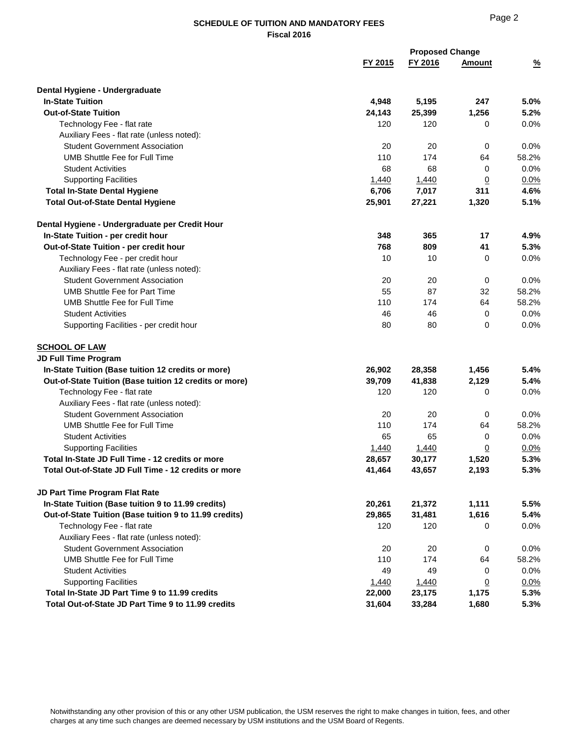# Page 2

|                                                                                      |         | <b>Proposed Change</b> |                 |               |  |
|--------------------------------------------------------------------------------------|---------|------------------------|-----------------|---------------|--|
|                                                                                      | FY 2015 | FY 2016                | <b>Amount</b>   | $\frac{9}{6}$ |  |
| Dental Hygiene - Undergraduate                                                       |         |                        |                 |               |  |
| <b>In-State Tuition</b>                                                              | 4,948   | 5,195                  | 247             | 5.0%          |  |
| <b>Out-of-State Tuition</b>                                                          | 24,143  | 25,399                 | 1,256           | 5.2%          |  |
| Technology Fee - flat rate                                                           | 120     | 120                    | 0               | 0.0%          |  |
| Auxiliary Fees - flat rate (unless noted):                                           |         |                        |                 |               |  |
| <b>Student Government Association</b>                                                | 20      | 20                     | 0               | 0.0%          |  |
| <b>UMB Shuttle Fee for Full Time</b>                                                 | 110     | 174                    | 64              | 58.2%         |  |
| <b>Student Activities</b>                                                            | 68      | 68                     | 0               | 0.0%          |  |
| <b>Supporting Facilities</b>                                                         | 1,440   | 1,440                  | $\overline{0}$  | 0.0%          |  |
| <b>Total In-State Dental Hygiene</b>                                                 | 6,706   | 7,017                  | 311             | 4.6%          |  |
| <b>Total Out-of-State Dental Hygiene</b>                                             | 25,901  | 27,221                 | 1,320           | 5.1%          |  |
|                                                                                      |         |                        |                 |               |  |
| Dental Hygiene - Undergraduate per Credit Hour<br>In-State Tuition - per credit hour | 348     | 365                    | 17              | 4.9%          |  |
| Out-of-State Tuition - per credit hour                                               | 768     | 809                    | 41              | 5.3%          |  |
| Technology Fee - per credit hour                                                     | 10      | 10                     | 0               | 0.0%          |  |
| Auxiliary Fees - flat rate (unless noted):                                           |         |                        |                 |               |  |
| <b>Student Government Association</b>                                                | 20      | 20                     | 0               | $0.0\%$       |  |
| <b>UMB Shuttle Fee for Part Time</b>                                                 | 55      | 87                     | 32              | 58.2%         |  |
| UMB Shuttle Fee for Full Time                                                        | 110     | 174                    | 64              | 58.2%         |  |
| <b>Student Activities</b>                                                            | 46      | 46                     | 0               | 0.0%          |  |
| Supporting Facilities - per credit hour                                              | 80      | 80                     | 0               | 0.0%          |  |
| <b>SCHOOL OF LAW</b>                                                                 |         |                        |                 |               |  |
| <b>JD Full Time Program</b>                                                          |         |                        |                 |               |  |
| In-State Tuition (Base tuition 12 credits or more)                                   | 26,902  | 28,358                 | 1,456           | 5.4%          |  |
| Out-of-State Tuition (Base tuition 12 credits or more)                               | 39,709  | 41,838                 | 2,129           | 5.4%          |  |
| Technology Fee - flat rate                                                           | 120     | 120                    | 0               | 0.0%          |  |
| Auxiliary Fees - flat rate (unless noted):                                           |         |                        |                 |               |  |
| <b>Student Government Association</b>                                                | 20      | 20                     | 0               | 0.0%          |  |
| <b>UMB Shuttle Fee for Full Time</b>                                                 | 110     | 174                    | 64              | 58.2%         |  |
| <b>Student Activities</b>                                                            | 65      | 65                     | 0               | 0.0%          |  |
| <b>Supporting Facilities</b>                                                         | 1,440   | 1,440                  | <u>0</u>        | 0.0%          |  |
| Total In-State JD Full Time - 12 credits or more                                     | 28,657  | 30,177                 | 1,520           | 5.3%          |  |
| Total Out-of-State JD Full Time - 12 credits or more                                 | 41,464  | 43,657                 | 2,193           | 5.3%          |  |
| <b>JD Part Time Program Flat Rate</b>                                                |         |                        |                 |               |  |
| In-State Tuition (Base tuition 9 to 11.99 credits)                                   | 20,261  | 21,372                 | 1,111           | 5.5%          |  |
| Out-of-State Tuition (Base tuition 9 to 11.99 credits)                               | 29,865  | 31,481                 | 1,616           | 5.4%          |  |
| Technology Fee - flat rate                                                           | 120     | 120                    | 0               | 0.0%          |  |
| Auxiliary Fees - flat rate (unless noted):                                           |         |                        |                 |               |  |
| <b>Student Government Association</b>                                                | 20      | 20                     | 0               | 0.0%          |  |
| <b>UMB Shuttle Fee for Full Time</b>                                                 | 110     | 174                    | 64              | 58.2%         |  |
| <b>Student Activities</b>                                                            | 49      | 49                     | 0               | $0.0\%$       |  |
| <b>Supporting Facilities</b>                                                         | 1,440   | 1,440                  | $\underline{0}$ | $0.0\%$       |  |
| Total In-State JD Part Time 9 to 11.99 credits                                       | 22,000  | 23,175                 | 1,175           | 5.3%          |  |
| Total Out-of-State JD Part Time 9 to 11.99 credits                                   | 31,604  | 33,284                 | 1,680           | 5.3%          |  |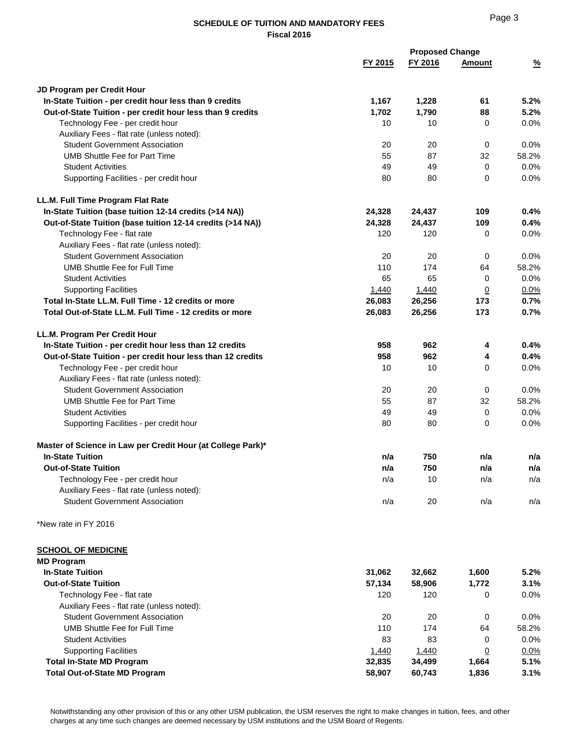|                                                                               |          | <b>Proposed Change</b> |                 |               |  |
|-------------------------------------------------------------------------------|----------|------------------------|-----------------|---------------|--|
|                                                                               | FY 2015  | FY 2016                | Amount          | $\frac{9}{6}$ |  |
| JD Program per Credit Hour                                                    |          |                        |                 |               |  |
| In-State Tuition - per credit hour less than 9 credits                        | 1,167    | 1,228                  | 61              | 5.2%          |  |
| Out-of-State Tuition - per credit hour less than 9 credits                    | 1,702    | 1,790                  | 88              | 5.2%          |  |
| Technology Fee - per credit hour                                              | 10       | 10                     | 0               | 0.0%          |  |
| Auxiliary Fees - flat rate (unless noted):                                    |          |                        |                 |               |  |
| <b>Student Government Association</b>                                         | 20       | 20                     | 0               | 0.0%          |  |
| <b>UMB Shuttle Fee for Part Time</b>                                          | 55       | 87                     | 32              | 58.2%         |  |
| <b>Student Activities</b>                                                     | 49       | 49                     | $\mathbf 0$     | 0.0%          |  |
| Supporting Facilities - per credit hour                                       | 80       | 80                     | $\Omega$        | 0.0%          |  |
| LL.M. Full Time Program Flat Rate                                             |          |                        |                 |               |  |
| In-State Tuition (base tuition 12-14 credits (>14 NA))                        | 24,328   | 24,437                 | 109             | 0.4%          |  |
| Out-of-State Tuition (base tuition 12-14 credits (>14 NA))                    | 24,328   | 24,437                 | 109             | 0.4%          |  |
| Technology Fee - flat rate                                                    | 120      | 120                    | $\Omega$        | 0.0%          |  |
| Auxiliary Fees - flat rate (unless noted):                                    |          |                        |                 |               |  |
| <b>Student Government Association</b>                                         | 20       | 20                     | 0               | 0.0%          |  |
| <b>UMB Shuttle Fee for Full Time</b>                                          | 110      | 174                    | 64              | 58.2%         |  |
| <b>Student Activities</b>                                                     | 65       | 65                     | 0               | 0.0%          |  |
| <b>Supporting Facilities</b>                                                  | 1,440    | 1,440                  | $\underline{0}$ | 0.0%          |  |
| Total In-State LL.M. Full Time - 12 credits or more                           | 26,083   | 26,256                 | 173             | 0.7%          |  |
| Total Out-of-State LL.M. Full Time - 12 credits or more                       | 26,083   | 26,256                 | 173             | 0.7%          |  |
| LL.M. Program Per Credit Hour                                                 |          |                        |                 |               |  |
| In-State Tuition - per credit hour less than 12 credits                       | 958      | 962                    | 4               | 0.4%          |  |
| Out-of-State Tuition - per credit hour less than 12 credits                   | 958      | 962                    | 4               | 0.4%          |  |
| Technology Fee - per credit hour                                              | 10       | 10                     | $\Omega$        | 0.0%          |  |
| Auxiliary Fees - flat rate (unless noted):                                    |          |                        |                 |               |  |
| <b>Student Government Association</b><br><b>UMB Shuttle Fee for Part Time</b> | 20<br>55 | 20                     | 0               | 0.0%<br>58.2% |  |
|                                                                               |          | 87                     | 32              | 0.0%          |  |
| <b>Student Activities</b><br>Supporting Facilities - per credit hour          | 49<br>80 | 49<br>80               | 0<br>$\Omega$   | 0.0%          |  |
|                                                                               |          |                        |                 |               |  |
| Master of Science in Law per Credit Hour (at College Park)*                   |          |                        |                 |               |  |
| <b>In-State Tuition</b>                                                       | n/a      | 750                    | n/a             | n/a           |  |
| <b>Out-of-State Tuition</b>                                                   | n/a      | 750                    | n/a             | n/a           |  |
| Technology Fee - per credit hour                                              | n/a      | 10                     | n/a             | n/a           |  |
| Auxiliary Fees - flat rate (unless noted):                                    |          |                        |                 |               |  |
| <b>Student Government Association</b>                                         | n/a      | 20                     | n/a             | n/a           |  |
| *New rate in FY 2016                                                          |          |                        |                 |               |  |
| <b>SCHOOL OF MEDICINE</b>                                                     |          |                        |                 |               |  |
| <b>MD Program</b>                                                             |          |                        |                 |               |  |
| <b>In-State Tuition</b>                                                       | 31,062   | 32,662                 | 1,600           | 5.2%          |  |
| <b>Out-of-State Tuition</b>                                                   | 57,134   | 58,906                 | 1,772           | 3.1%          |  |
| Technology Fee - flat rate                                                    | 120      | 120                    | 0               | 0.0%          |  |
| Auxiliary Fees - flat rate (unless noted):                                    |          |                        |                 |               |  |
| <b>Student Government Association</b>                                         | 20       | 20                     | 0               | 0.0%          |  |
| <b>UMB Shuttle Fee for Full Time</b>                                          | 110      | 174                    | 64              | 58.2%         |  |
| <b>Student Activities</b>                                                     | 83       | 83                     | 0               | 0.0%          |  |
| <b>Supporting Facilities</b>                                                  | 1,440    | 1,440                  | $\overline{0}$  | 0.0%          |  |
| <b>Total In-State MD Program</b>                                              | 32,835   | 34,499                 | 1,664           | 5.1%          |  |
| <b>Total Out-of-State MD Program</b>                                          | 58,907   | 60,743                 | 1,836           | 3.1%          |  |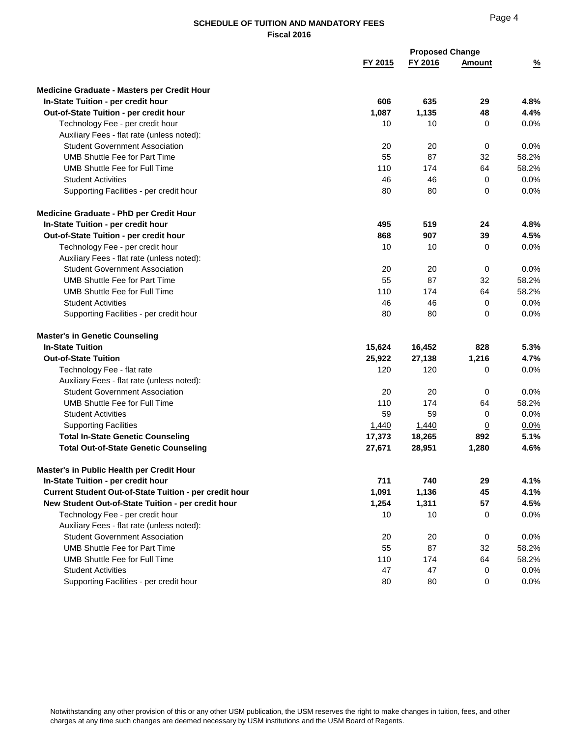| FY 2016<br>FY 2015<br><b>Amount</b><br>$\frac{9}{6}$<br><b>Medicine Graduate - Masters per Credit Hour</b><br>In-State Tuition - per credit hour<br>606<br>635<br>29<br>4.8%<br>1,087<br>1,135<br>4.4%<br>Out-of-State Tuition - per credit hour<br>48<br>10<br>Technology Fee - per credit hour<br>10<br>0<br>0.0%<br>Auxiliary Fees - flat rate (unless noted):<br><b>Student Government Association</b><br>20<br>20<br>0<br>0.0%<br><b>UMB Shuttle Fee for Part Time</b><br>55<br>87<br>32<br>58.2%<br>110<br>174<br>64<br>58.2%<br>UMB Shuttle Fee for Full Time<br>46<br>0.0%<br><b>Student Activities</b><br>46<br>0<br>80<br>0.0%<br>Supporting Facilities - per credit hour<br>80<br>0<br>Medicine Graduate - PhD per Credit Hour<br>In-State Tuition - per credit hour<br>495<br>519<br>24<br>4.8%<br>868<br>4.5%<br>Out-of-State Tuition - per credit hour<br>907<br>39<br>Technology Fee - per credit hour<br>10<br>10<br>0<br>0.0%<br>Auxiliary Fees - flat rate (unless noted):<br><b>Student Government Association</b><br>20<br>20<br>0<br>0.0%<br><b>UMB Shuttle Fee for Part Time</b><br>55<br>87<br>32<br>58.2%<br>110<br>174<br>64<br>58.2%<br>UMB Shuttle Fee for Full Time<br>0.0%<br><b>Student Activities</b><br>46<br>46<br>0<br>Supporting Facilities - per credit hour<br>80<br>80<br>0<br>0.0%<br><b>Master's in Genetic Counseling</b><br><b>In-State Tuition</b><br>15,624<br>16,452<br>828<br>5.3%<br>27,138<br>4.7%<br><b>Out-of-State Tuition</b><br>25,922<br>1,216<br>120<br>120<br>Technology Fee - flat rate<br>0<br>0.0%<br>Auxiliary Fees - flat rate (unless noted):<br><b>Student Government Association</b><br>0<br>20<br>20<br>0.0%<br>110<br>174<br>58.2%<br>UMB Shuttle Fee for Full Time<br>64<br><b>Student Activities</b><br>59<br>59<br>0<br>0.0%<br><b>Supporting Facilities</b><br>1,440<br>1,440<br>$\overline{0}$<br>0.0%<br><b>Total In-State Genetic Counseling</b><br>17,373<br>18,265<br>5.1%<br>892<br><b>Total Out-of-State Genetic Counseling</b><br>27,671<br>28,951<br>4.6%<br>1,280<br>Master's in Public Health per Credit Hour<br>711<br>740<br>In-State Tuition - per credit hour<br>29<br>4.1%<br>Current Student Out-of-State Tuition - per credit hour<br>1,091<br>1,136<br>45<br>4.1%<br>1,254<br>1,311<br>57<br>4.5%<br>New Student Out-of-State Tuition - per credit hour<br>10<br>10<br>Technology Fee - per credit hour<br>0<br>$0.0\%$<br>Auxiliary Fees - flat rate (unless noted):<br><b>Student Government Association</b><br>20<br>$\mathbf 0$<br>20<br>$0.0\%$<br><b>UMB Shuttle Fee for Part Time</b><br>55<br>87<br>32<br>58.2%<br><b>UMB Shuttle Fee for Full Time</b><br>110<br>174<br>64<br>58.2%<br><b>Student Activities</b><br>47<br>47<br>0.0%<br>0 |                                         |    | <b>Proposed Change</b> |   |         |
|---------------------------------------------------------------------------------------------------------------------------------------------------------------------------------------------------------------------------------------------------------------------------------------------------------------------------------------------------------------------------------------------------------------------------------------------------------------------------------------------------------------------------------------------------------------------------------------------------------------------------------------------------------------------------------------------------------------------------------------------------------------------------------------------------------------------------------------------------------------------------------------------------------------------------------------------------------------------------------------------------------------------------------------------------------------------------------------------------------------------------------------------------------------------------------------------------------------------------------------------------------------------------------------------------------------------------------------------------------------------------------------------------------------------------------------------------------------------------------------------------------------------------------------------------------------------------------------------------------------------------------------------------------------------------------------------------------------------------------------------------------------------------------------------------------------------------------------------------------------------------------------------------------------------------------------------------------------------------------------------------------------------------------------------------------------------------------------------------------------------------------------------------------------------------------------------------------------------------------------------------------------------------------------------------------------------------------------------------------------------------------------------------------------------------------------------------------------------------------------------------------------------------------------------------------------------------------------------------------------------------------------------------------------------------------------------------------------------------------------------|-----------------------------------------|----|------------------------|---|---------|
|                                                                                                                                                                                                                                                                                                                                                                                                                                                                                                                                                                                                                                                                                                                                                                                                                                                                                                                                                                                                                                                                                                                                                                                                                                                                                                                                                                                                                                                                                                                                                                                                                                                                                                                                                                                                                                                                                                                                                                                                                                                                                                                                                                                                                                                                                                                                                                                                                                                                                                                                                                                                                                                                                                                                             |                                         |    |                        |   |         |
|                                                                                                                                                                                                                                                                                                                                                                                                                                                                                                                                                                                                                                                                                                                                                                                                                                                                                                                                                                                                                                                                                                                                                                                                                                                                                                                                                                                                                                                                                                                                                                                                                                                                                                                                                                                                                                                                                                                                                                                                                                                                                                                                                                                                                                                                                                                                                                                                                                                                                                                                                                                                                                                                                                                                             |                                         |    |                        |   |         |
|                                                                                                                                                                                                                                                                                                                                                                                                                                                                                                                                                                                                                                                                                                                                                                                                                                                                                                                                                                                                                                                                                                                                                                                                                                                                                                                                                                                                                                                                                                                                                                                                                                                                                                                                                                                                                                                                                                                                                                                                                                                                                                                                                                                                                                                                                                                                                                                                                                                                                                                                                                                                                                                                                                                                             |                                         |    |                        |   |         |
|                                                                                                                                                                                                                                                                                                                                                                                                                                                                                                                                                                                                                                                                                                                                                                                                                                                                                                                                                                                                                                                                                                                                                                                                                                                                                                                                                                                                                                                                                                                                                                                                                                                                                                                                                                                                                                                                                                                                                                                                                                                                                                                                                                                                                                                                                                                                                                                                                                                                                                                                                                                                                                                                                                                                             |                                         |    |                        |   |         |
|                                                                                                                                                                                                                                                                                                                                                                                                                                                                                                                                                                                                                                                                                                                                                                                                                                                                                                                                                                                                                                                                                                                                                                                                                                                                                                                                                                                                                                                                                                                                                                                                                                                                                                                                                                                                                                                                                                                                                                                                                                                                                                                                                                                                                                                                                                                                                                                                                                                                                                                                                                                                                                                                                                                                             |                                         |    |                        |   |         |
|                                                                                                                                                                                                                                                                                                                                                                                                                                                                                                                                                                                                                                                                                                                                                                                                                                                                                                                                                                                                                                                                                                                                                                                                                                                                                                                                                                                                                                                                                                                                                                                                                                                                                                                                                                                                                                                                                                                                                                                                                                                                                                                                                                                                                                                                                                                                                                                                                                                                                                                                                                                                                                                                                                                                             |                                         |    |                        |   |         |
|                                                                                                                                                                                                                                                                                                                                                                                                                                                                                                                                                                                                                                                                                                                                                                                                                                                                                                                                                                                                                                                                                                                                                                                                                                                                                                                                                                                                                                                                                                                                                                                                                                                                                                                                                                                                                                                                                                                                                                                                                                                                                                                                                                                                                                                                                                                                                                                                                                                                                                                                                                                                                                                                                                                                             |                                         |    |                        |   |         |
|                                                                                                                                                                                                                                                                                                                                                                                                                                                                                                                                                                                                                                                                                                                                                                                                                                                                                                                                                                                                                                                                                                                                                                                                                                                                                                                                                                                                                                                                                                                                                                                                                                                                                                                                                                                                                                                                                                                                                                                                                                                                                                                                                                                                                                                                                                                                                                                                                                                                                                                                                                                                                                                                                                                                             |                                         |    |                        |   |         |
|                                                                                                                                                                                                                                                                                                                                                                                                                                                                                                                                                                                                                                                                                                                                                                                                                                                                                                                                                                                                                                                                                                                                                                                                                                                                                                                                                                                                                                                                                                                                                                                                                                                                                                                                                                                                                                                                                                                                                                                                                                                                                                                                                                                                                                                                                                                                                                                                                                                                                                                                                                                                                                                                                                                                             |                                         |    |                        |   |         |
|                                                                                                                                                                                                                                                                                                                                                                                                                                                                                                                                                                                                                                                                                                                                                                                                                                                                                                                                                                                                                                                                                                                                                                                                                                                                                                                                                                                                                                                                                                                                                                                                                                                                                                                                                                                                                                                                                                                                                                                                                                                                                                                                                                                                                                                                                                                                                                                                                                                                                                                                                                                                                                                                                                                                             |                                         |    |                        |   |         |
|                                                                                                                                                                                                                                                                                                                                                                                                                                                                                                                                                                                                                                                                                                                                                                                                                                                                                                                                                                                                                                                                                                                                                                                                                                                                                                                                                                                                                                                                                                                                                                                                                                                                                                                                                                                                                                                                                                                                                                                                                                                                                                                                                                                                                                                                                                                                                                                                                                                                                                                                                                                                                                                                                                                                             |                                         |    |                        |   |         |
|                                                                                                                                                                                                                                                                                                                                                                                                                                                                                                                                                                                                                                                                                                                                                                                                                                                                                                                                                                                                                                                                                                                                                                                                                                                                                                                                                                                                                                                                                                                                                                                                                                                                                                                                                                                                                                                                                                                                                                                                                                                                                                                                                                                                                                                                                                                                                                                                                                                                                                                                                                                                                                                                                                                                             |                                         |    |                        |   |         |
|                                                                                                                                                                                                                                                                                                                                                                                                                                                                                                                                                                                                                                                                                                                                                                                                                                                                                                                                                                                                                                                                                                                                                                                                                                                                                                                                                                                                                                                                                                                                                                                                                                                                                                                                                                                                                                                                                                                                                                                                                                                                                                                                                                                                                                                                                                                                                                                                                                                                                                                                                                                                                                                                                                                                             |                                         |    |                        |   |         |
|                                                                                                                                                                                                                                                                                                                                                                                                                                                                                                                                                                                                                                                                                                                                                                                                                                                                                                                                                                                                                                                                                                                                                                                                                                                                                                                                                                                                                                                                                                                                                                                                                                                                                                                                                                                                                                                                                                                                                                                                                                                                                                                                                                                                                                                                                                                                                                                                                                                                                                                                                                                                                                                                                                                                             |                                         |    |                        |   |         |
|                                                                                                                                                                                                                                                                                                                                                                                                                                                                                                                                                                                                                                                                                                                                                                                                                                                                                                                                                                                                                                                                                                                                                                                                                                                                                                                                                                                                                                                                                                                                                                                                                                                                                                                                                                                                                                                                                                                                                                                                                                                                                                                                                                                                                                                                                                                                                                                                                                                                                                                                                                                                                                                                                                                                             |                                         |    |                        |   |         |
|                                                                                                                                                                                                                                                                                                                                                                                                                                                                                                                                                                                                                                                                                                                                                                                                                                                                                                                                                                                                                                                                                                                                                                                                                                                                                                                                                                                                                                                                                                                                                                                                                                                                                                                                                                                                                                                                                                                                                                                                                                                                                                                                                                                                                                                                                                                                                                                                                                                                                                                                                                                                                                                                                                                                             |                                         |    |                        |   |         |
|                                                                                                                                                                                                                                                                                                                                                                                                                                                                                                                                                                                                                                                                                                                                                                                                                                                                                                                                                                                                                                                                                                                                                                                                                                                                                                                                                                                                                                                                                                                                                                                                                                                                                                                                                                                                                                                                                                                                                                                                                                                                                                                                                                                                                                                                                                                                                                                                                                                                                                                                                                                                                                                                                                                                             |                                         |    |                        |   |         |
|                                                                                                                                                                                                                                                                                                                                                                                                                                                                                                                                                                                                                                                                                                                                                                                                                                                                                                                                                                                                                                                                                                                                                                                                                                                                                                                                                                                                                                                                                                                                                                                                                                                                                                                                                                                                                                                                                                                                                                                                                                                                                                                                                                                                                                                                                                                                                                                                                                                                                                                                                                                                                                                                                                                                             |                                         |    |                        |   |         |
|                                                                                                                                                                                                                                                                                                                                                                                                                                                                                                                                                                                                                                                                                                                                                                                                                                                                                                                                                                                                                                                                                                                                                                                                                                                                                                                                                                                                                                                                                                                                                                                                                                                                                                                                                                                                                                                                                                                                                                                                                                                                                                                                                                                                                                                                                                                                                                                                                                                                                                                                                                                                                                                                                                                                             |                                         |    |                        |   |         |
|                                                                                                                                                                                                                                                                                                                                                                                                                                                                                                                                                                                                                                                                                                                                                                                                                                                                                                                                                                                                                                                                                                                                                                                                                                                                                                                                                                                                                                                                                                                                                                                                                                                                                                                                                                                                                                                                                                                                                                                                                                                                                                                                                                                                                                                                                                                                                                                                                                                                                                                                                                                                                                                                                                                                             |                                         |    |                        |   |         |
|                                                                                                                                                                                                                                                                                                                                                                                                                                                                                                                                                                                                                                                                                                                                                                                                                                                                                                                                                                                                                                                                                                                                                                                                                                                                                                                                                                                                                                                                                                                                                                                                                                                                                                                                                                                                                                                                                                                                                                                                                                                                                                                                                                                                                                                                                                                                                                                                                                                                                                                                                                                                                                                                                                                                             |                                         |    |                        |   |         |
|                                                                                                                                                                                                                                                                                                                                                                                                                                                                                                                                                                                                                                                                                                                                                                                                                                                                                                                                                                                                                                                                                                                                                                                                                                                                                                                                                                                                                                                                                                                                                                                                                                                                                                                                                                                                                                                                                                                                                                                                                                                                                                                                                                                                                                                                                                                                                                                                                                                                                                                                                                                                                                                                                                                                             |                                         |    |                        |   |         |
|                                                                                                                                                                                                                                                                                                                                                                                                                                                                                                                                                                                                                                                                                                                                                                                                                                                                                                                                                                                                                                                                                                                                                                                                                                                                                                                                                                                                                                                                                                                                                                                                                                                                                                                                                                                                                                                                                                                                                                                                                                                                                                                                                                                                                                                                                                                                                                                                                                                                                                                                                                                                                                                                                                                                             |                                         |    |                        |   |         |
|                                                                                                                                                                                                                                                                                                                                                                                                                                                                                                                                                                                                                                                                                                                                                                                                                                                                                                                                                                                                                                                                                                                                                                                                                                                                                                                                                                                                                                                                                                                                                                                                                                                                                                                                                                                                                                                                                                                                                                                                                                                                                                                                                                                                                                                                                                                                                                                                                                                                                                                                                                                                                                                                                                                                             |                                         |    |                        |   |         |
|                                                                                                                                                                                                                                                                                                                                                                                                                                                                                                                                                                                                                                                                                                                                                                                                                                                                                                                                                                                                                                                                                                                                                                                                                                                                                                                                                                                                                                                                                                                                                                                                                                                                                                                                                                                                                                                                                                                                                                                                                                                                                                                                                                                                                                                                                                                                                                                                                                                                                                                                                                                                                                                                                                                                             |                                         |    |                        |   |         |
|                                                                                                                                                                                                                                                                                                                                                                                                                                                                                                                                                                                                                                                                                                                                                                                                                                                                                                                                                                                                                                                                                                                                                                                                                                                                                                                                                                                                                                                                                                                                                                                                                                                                                                                                                                                                                                                                                                                                                                                                                                                                                                                                                                                                                                                                                                                                                                                                                                                                                                                                                                                                                                                                                                                                             |                                         |    |                        |   |         |
|                                                                                                                                                                                                                                                                                                                                                                                                                                                                                                                                                                                                                                                                                                                                                                                                                                                                                                                                                                                                                                                                                                                                                                                                                                                                                                                                                                                                                                                                                                                                                                                                                                                                                                                                                                                                                                                                                                                                                                                                                                                                                                                                                                                                                                                                                                                                                                                                                                                                                                                                                                                                                                                                                                                                             |                                         |    |                        |   |         |
|                                                                                                                                                                                                                                                                                                                                                                                                                                                                                                                                                                                                                                                                                                                                                                                                                                                                                                                                                                                                                                                                                                                                                                                                                                                                                                                                                                                                                                                                                                                                                                                                                                                                                                                                                                                                                                                                                                                                                                                                                                                                                                                                                                                                                                                                                                                                                                                                                                                                                                                                                                                                                                                                                                                                             |                                         |    |                        |   |         |
|                                                                                                                                                                                                                                                                                                                                                                                                                                                                                                                                                                                                                                                                                                                                                                                                                                                                                                                                                                                                                                                                                                                                                                                                                                                                                                                                                                                                                                                                                                                                                                                                                                                                                                                                                                                                                                                                                                                                                                                                                                                                                                                                                                                                                                                                                                                                                                                                                                                                                                                                                                                                                                                                                                                                             |                                         |    |                        |   |         |
|                                                                                                                                                                                                                                                                                                                                                                                                                                                                                                                                                                                                                                                                                                                                                                                                                                                                                                                                                                                                                                                                                                                                                                                                                                                                                                                                                                                                                                                                                                                                                                                                                                                                                                                                                                                                                                                                                                                                                                                                                                                                                                                                                                                                                                                                                                                                                                                                                                                                                                                                                                                                                                                                                                                                             |                                         |    |                        |   |         |
|                                                                                                                                                                                                                                                                                                                                                                                                                                                                                                                                                                                                                                                                                                                                                                                                                                                                                                                                                                                                                                                                                                                                                                                                                                                                                                                                                                                                                                                                                                                                                                                                                                                                                                                                                                                                                                                                                                                                                                                                                                                                                                                                                                                                                                                                                                                                                                                                                                                                                                                                                                                                                                                                                                                                             |                                         |    |                        |   |         |
|                                                                                                                                                                                                                                                                                                                                                                                                                                                                                                                                                                                                                                                                                                                                                                                                                                                                                                                                                                                                                                                                                                                                                                                                                                                                                                                                                                                                                                                                                                                                                                                                                                                                                                                                                                                                                                                                                                                                                                                                                                                                                                                                                                                                                                                                                                                                                                                                                                                                                                                                                                                                                                                                                                                                             |                                         |    |                        |   |         |
|                                                                                                                                                                                                                                                                                                                                                                                                                                                                                                                                                                                                                                                                                                                                                                                                                                                                                                                                                                                                                                                                                                                                                                                                                                                                                                                                                                                                                                                                                                                                                                                                                                                                                                                                                                                                                                                                                                                                                                                                                                                                                                                                                                                                                                                                                                                                                                                                                                                                                                                                                                                                                                                                                                                                             |                                         |    |                        |   |         |
|                                                                                                                                                                                                                                                                                                                                                                                                                                                                                                                                                                                                                                                                                                                                                                                                                                                                                                                                                                                                                                                                                                                                                                                                                                                                                                                                                                                                                                                                                                                                                                                                                                                                                                                                                                                                                                                                                                                                                                                                                                                                                                                                                                                                                                                                                                                                                                                                                                                                                                                                                                                                                                                                                                                                             |                                         |    |                        |   |         |
|                                                                                                                                                                                                                                                                                                                                                                                                                                                                                                                                                                                                                                                                                                                                                                                                                                                                                                                                                                                                                                                                                                                                                                                                                                                                                                                                                                                                                                                                                                                                                                                                                                                                                                                                                                                                                                                                                                                                                                                                                                                                                                                                                                                                                                                                                                                                                                                                                                                                                                                                                                                                                                                                                                                                             |                                         |    |                        |   |         |
|                                                                                                                                                                                                                                                                                                                                                                                                                                                                                                                                                                                                                                                                                                                                                                                                                                                                                                                                                                                                                                                                                                                                                                                                                                                                                                                                                                                                                                                                                                                                                                                                                                                                                                                                                                                                                                                                                                                                                                                                                                                                                                                                                                                                                                                                                                                                                                                                                                                                                                                                                                                                                                                                                                                                             |                                         |    |                        |   |         |
|                                                                                                                                                                                                                                                                                                                                                                                                                                                                                                                                                                                                                                                                                                                                                                                                                                                                                                                                                                                                                                                                                                                                                                                                                                                                                                                                                                                                                                                                                                                                                                                                                                                                                                                                                                                                                                                                                                                                                                                                                                                                                                                                                                                                                                                                                                                                                                                                                                                                                                                                                                                                                                                                                                                                             |                                         |    |                        |   |         |
|                                                                                                                                                                                                                                                                                                                                                                                                                                                                                                                                                                                                                                                                                                                                                                                                                                                                                                                                                                                                                                                                                                                                                                                                                                                                                                                                                                                                                                                                                                                                                                                                                                                                                                                                                                                                                                                                                                                                                                                                                                                                                                                                                                                                                                                                                                                                                                                                                                                                                                                                                                                                                                                                                                                                             |                                         |    |                        |   |         |
|                                                                                                                                                                                                                                                                                                                                                                                                                                                                                                                                                                                                                                                                                                                                                                                                                                                                                                                                                                                                                                                                                                                                                                                                                                                                                                                                                                                                                                                                                                                                                                                                                                                                                                                                                                                                                                                                                                                                                                                                                                                                                                                                                                                                                                                                                                                                                                                                                                                                                                                                                                                                                                                                                                                                             |                                         |    |                        |   |         |
|                                                                                                                                                                                                                                                                                                                                                                                                                                                                                                                                                                                                                                                                                                                                                                                                                                                                                                                                                                                                                                                                                                                                                                                                                                                                                                                                                                                                                                                                                                                                                                                                                                                                                                                                                                                                                                                                                                                                                                                                                                                                                                                                                                                                                                                                                                                                                                                                                                                                                                                                                                                                                                                                                                                                             |                                         |    |                        |   |         |
|                                                                                                                                                                                                                                                                                                                                                                                                                                                                                                                                                                                                                                                                                                                                                                                                                                                                                                                                                                                                                                                                                                                                                                                                                                                                                                                                                                                                                                                                                                                                                                                                                                                                                                                                                                                                                                                                                                                                                                                                                                                                                                                                                                                                                                                                                                                                                                                                                                                                                                                                                                                                                                                                                                                                             |                                         |    |                        |   |         |
|                                                                                                                                                                                                                                                                                                                                                                                                                                                                                                                                                                                                                                                                                                                                                                                                                                                                                                                                                                                                                                                                                                                                                                                                                                                                                                                                                                                                                                                                                                                                                                                                                                                                                                                                                                                                                                                                                                                                                                                                                                                                                                                                                                                                                                                                                                                                                                                                                                                                                                                                                                                                                                                                                                                                             |                                         |    |                        |   |         |
|                                                                                                                                                                                                                                                                                                                                                                                                                                                                                                                                                                                                                                                                                                                                                                                                                                                                                                                                                                                                                                                                                                                                                                                                                                                                                                                                                                                                                                                                                                                                                                                                                                                                                                                                                                                                                                                                                                                                                                                                                                                                                                                                                                                                                                                                                                                                                                                                                                                                                                                                                                                                                                                                                                                                             | Supporting Facilities - per credit hour | 80 | 80                     | 0 | $0.0\%$ |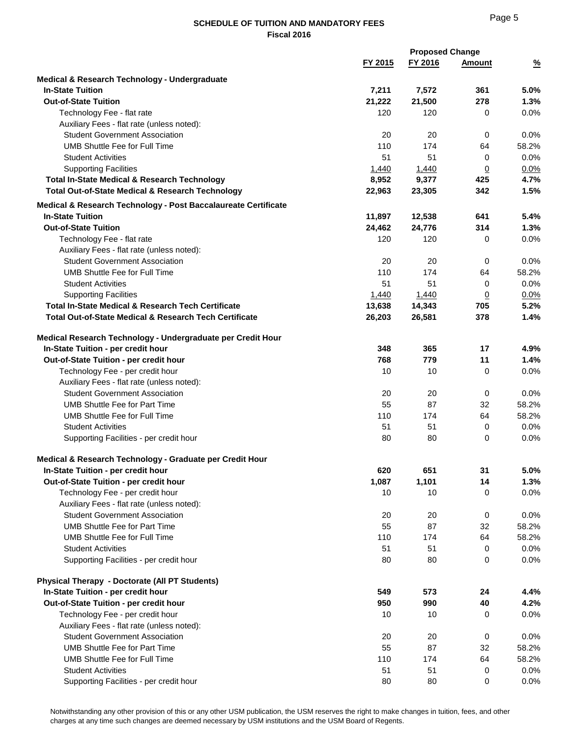|                                                                                    | <b>Proposed Change</b> |                 |                       |               |  |
|------------------------------------------------------------------------------------|------------------------|-----------------|-----------------------|---------------|--|
|                                                                                    | FY 2015                | FY 2016         | <b>Amount</b>         | $\frac{9}{6}$ |  |
| Medical & Research Technology - Undergraduate                                      |                        |                 |                       |               |  |
| <b>In-State Tuition</b>                                                            | 7,211                  | 7,572           | 361                   | 5.0%          |  |
| <b>Out-of-State Tuition</b>                                                        | 21,222                 | 21,500          | 278                   | 1.3%          |  |
| Technology Fee - flat rate                                                         | 120                    | 120             | 0                     | 0.0%          |  |
| Auxiliary Fees - flat rate (unless noted):                                         |                        |                 |                       |               |  |
| <b>Student Government Association</b>                                              | 20                     | 20              | 0                     | 0.0%          |  |
| <b>UMB Shuttle Fee for Full Time</b>                                               | 110                    | 174             | 64                    | 58.2%         |  |
| <b>Student Activities</b>                                                          | 51                     | 51              | 0                     | 0.0%          |  |
| <b>Supporting Facilities</b>                                                       | 1,440                  | 1,440           | $\underline{0}$       | 0.0%          |  |
| <b>Total In-State Medical &amp; Research Technology</b>                            | 8,952                  | 9,377           | 425                   | 4.7%          |  |
| <b>Total Out-of-State Medical &amp; Research Technology</b>                        | 22,963                 | 23,305          | 342                   | 1.5%          |  |
|                                                                                    |                        |                 |                       |               |  |
| Medical & Research Technology - Post Baccalaureate Certificate                     |                        |                 |                       |               |  |
| <b>In-State Tuition</b><br><b>Out-of-State Tuition</b>                             | 11,897                 | 12,538          | 641                   | 5.4%          |  |
|                                                                                    | 24,462                 | 24,776          | 314                   | 1.3%          |  |
| Technology Fee - flat rate<br>Auxiliary Fees - flat rate (unless noted):           | 120                    | 120             | 0                     | 0.0%          |  |
| <b>Student Government Association</b>                                              | 20                     | 20              |                       | 0.0%          |  |
| <b>UMB Shuttle Fee for Full Time</b>                                               | 110                    | 174             | 0<br>64               | 58.2%         |  |
| <b>Student Activities</b>                                                          | 51                     | 51              |                       | 0.0%          |  |
|                                                                                    |                        |                 | 0                     |               |  |
| <b>Supporting Facilities</b><br>Total In-State Medical & Research Tech Certificate | 1,440<br>13,638        | 1,440<br>14,343 | $\overline{0}$<br>705 | 0.0%<br>5.2%  |  |
| <b>Total Out-of-State Medical &amp; Research Tech Certificate</b>                  | 26,203                 | 26,581          | 378                   | 1.4%          |  |
|                                                                                    |                        |                 |                       |               |  |
| Medical Research Technology - Undergraduate per Credit Hour                        |                        |                 |                       |               |  |
| In-State Tuition - per credit hour                                                 | 348                    | 365             | 17                    | 4.9%          |  |
| Out-of-State Tuition - per credit hour                                             | 768                    | 779             | 11                    | 1.4%          |  |
| Technology Fee - per credit hour                                                   | 10                     | 10              | 0                     | 0.0%          |  |
| Auxiliary Fees - flat rate (unless noted):                                         |                        |                 |                       |               |  |
| <b>Student Government Association</b>                                              | 20                     | 20              | 0                     | 0.0%          |  |
| UMB Shuttle Fee for Part Time                                                      | 55                     | 87              | 32                    | 58.2%         |  |
| UMB Shuttle Fee for Full Time                                                      | 110                    | 174             | 64                    | 58.2%         |  |
| <b>Student Activities</b>                                                          | 51                     | 51              | 0                     | 0.0%          |  |
| Supporting Facilities - per credit hour                                            | 80                     | 80              | 0                     | 0.0%          |  |
|                                                                                    |                        |                 |                       |               |  |
| Medical & Research Technology - Graduate per Credit Hour                           |                        |                 |                       |               |  |
| In-State Tuition - per credit hour                                                 | 620                    | 651             | 31                    | 5.0%          |  |
| Out-of-State Tuition - per credit hour                                             | 1,087                  | 1,101           | 14                    | 1.3%          |  |
| Technology Fee - per credit hour                                                   | 10                     | 10              | 0                     | 0.0%          |  |
| Auxiliary Fees - flat rate (unless noted):                                         |                        |                 |                       |               |  |
| <b>Student Government Association</b>                                              | 20                     | 20              | 0                     | 0.0%          |  |
| <b>UMB Shuttle Fee for Part Time</b>                                               | 55                     | 87              | 32                    | 58.2%         |  |
| UMB Shuttle Fee for Full Time                                                      | 110                    | 174             | 64                    | 58.2%         |  |
| <b>Student Activities</b>                                                          | 51                     | 51              | 0                     | 0.0%          |  |
| Supporting Facilities - per credit hour                                            | 80                     | 80              | 0                     | 0.0%          |  |
|                                                                                    |                        |                 |                       |               |  |
| <b>Physical Therapy - Doctorate (All PT Students)</b>                              |                        |                 |                       |               |  |
| In-State Tuition - per credit hour                                                 | 549                    | 573             | 24                    | 4.4%          |  |
| Out-of-State Tuition - per credit hour                                             | 950                    | 990             | 40                    | 4.2%          |  |
| Technology Fee - per credit hour                                                   | 10                     | 10              | 0                     | 0.0%          |  |
| Auxiliary Fees - flat rate (unless noted):                                         |                        |                 |                       |               |  |
| <b>Student Government Association</b>                                              | 20                     | 20              | 0                     | 0.0%          |  |
| <b>UMB Shuttle Fee for Part Time</b>                                               | 55                     | 87              | 32                    | 58.2%         |  |
| <b>UMB Shuttle Fee for Full Time</b>                                               | 110                    | 174             | 64                    | 58.2%         |  |
| <b>Student Activities</b>                                                          | 51                     | 51              | 0                     | 0.0%          |  |
| Supporting Facilities - per credit hour                                            | 80                     | 80              | 0                     | 0.0%          |  |

Notwithstanding any other provision of this or any other USM publication, the USM reserves the right to make changes in tuition, fees, and other charges at any time such changes are deemed necessary by USM institutions and the USM Board of Regents.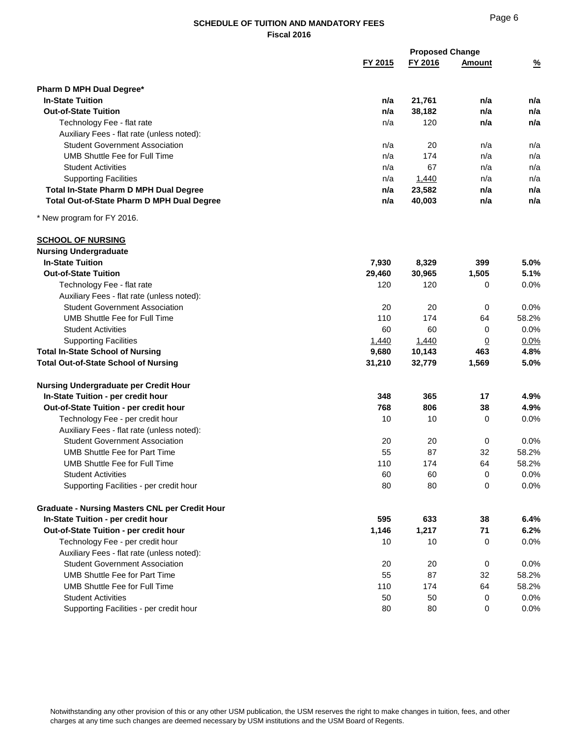|                                                                                     |         | <b>Proposed Change</b> |                |               |
|-------------------------------------------------------------------------------------|---------|------------------------|----------------|---------------|
|                                                                                     | FY 2015 | FY 2016                | <b>Amount</b>  | $\frac{9}{6}$ |
| Pharm D MPH Dual Degree*                                                            |         |                        |                |               |
| <b>In-State Tuition</b>                                                             | n/a     | 21,761                 | n/a            | n/a           |
| <b>Out-of-State Tuition</b>                                                         | n/a     | 38,182                 | n/a            | n/a           |
| Technology Fee - flat rate                                                          | n/a     | 120                    | n/a            | n/a           |
| Auxiliary Fees - flat rate (unless noted):                                          |         |                        |                |               |
| <b>Student Government Association</b>                                               | n/a     | 20                     | n/a            | n/a           |
| <b>UMB Shuttle Fee for Full Time</b>                                                | n/a     | 174                    | n/a            | n/a           |
| <b>Student Activities</b>                                                           | n/a     | 67                     | n/a            | n/a           |
| <b>Supporting Facilities</b>                                                        | n/a     | 1,440                  | n/a            | n/a           |
| <b>Total In-State Pharm D MPH Dual Degree</b>                                       | n/a     | 23,582                 | n/a            | n/a           |
| <b>Total Out-of-State Pharm D MPH Dual Degree</b>                                   | n/a     | 40,003                 | n/a            | n/a           |
| * New program for FY 2016.                                                          |         |                        |                |               |
|                                                                                     |         |                        |                |               |
| <b>SCHOOL OF NURSING</b>                                                            |         |                        |                |               |
| <b>Nursing Undergraduate</b><br><b>In-State Tuition</b>                             |         |                        |                |               |
| <b>Out-of-State Tuition</b>                                                         | 7,930   | 8,329                  | 399            | 5.0%          |
|                                                                                     | 29,460  | 30,965                 | 1,505          | 5.1%          |
| Technology Fee - flat rate                                                          | 120     | 120                    | 0              | 0.0%          |
| Auxiliary Fees - flat rate (unless noted):<br><b>Student Government Association</b> |         |                        |                |               |
|                                                                                     | 20      | 20                     | 0              | 0.0%          |
| UMB Shuttle Fee for Full Time                                                       | 110     | 174                    | 64             | 58.2%         |
| <b>Student Activities</b>                                                           | 60      | 60                     | 0              | 0.0%          |
| <b>Supporting Facilities</b>                                                        | 1,440   | 1,440                  | $\overline{0}$ | $0.0\%$       |
| <b>Total In-State School of Nursing</b>                                             | 9,680   | 10,143                 | 463            | 4.8%          |
| <b>Total Out-of-State School of Nursing</b>                                         | 31,210  | 32,779                 | 1,569          | 5.0%          |
| Nursing Undergraduate per Credit Hour                                               |         |                        |                |               |
| In-State Tuition - per credit hour                                                  | 348     | 365                    | 17             | 4.9%          |
| Out-of-State Tuition - per credit hour                                              | 768     | 806                    | 38             | 4.9%          |
| Technology Fee - per credit hour                                                    | 10      | 10                     | 0              | 0.0%          |
| Auxiliary Fees - flat rate (unless noted):                                          |         |                        |                |               |
| <b>Student Government Association</b>                                               | 20      | 20                     | 0              | 0.0%          |
| <b>UMB Shuttle Fee for Part Time</b>                                                | 55      | 87                     | 32             | 58.2%         |
| UMB Shuttle Fee for Full Time                                                       | 110     | 174                    | 64             | 58.2%         |
| <b>Student Activities</b>                                                           | 60      | 60                     | 0              | 0.0%          |
| Supporting Facilities - per credit hour                                             | 80      | 80                     | $\mathbf 0$    | 0.0%          |
| <b>Graduate - Nursing Masters CNL per Credit Hour</b>                               |         |                        |                |               |
| In-State Tuition - per credit hour                                                  | 595     | 633                    | 38             | 6.4%          |
| Out-of-State Tuition - per credit hour                                              | 1,146   | 1,217                  | 71             | 6.2%          |
| Technology Fee - per credit hour                                                    | 10      | 10                     | 0              | 0.0%          |
| Auxiliary Fees - flat rate (unless noted):                                          |         |                        |                |               |
| <b>Student Government Association</b>                                               | 20      | 20                     | 0              | 0.0%          |
| <b>UMB Shuttle Fee for Part Time</b>                                                | 55      | 87                     | 32             | 58.2%         |
| <b>UMB Shuttle Fee for Full Time</b>                                                | 110     | 174                    | 64             | 58.2%         |
| <b>Student Activities</b>                                                           | 50      | 50                     | 0              | $0.0\%$       |
| Supporting Facilities - per credit hour                                             | 80      | 80                     | 0              | 0.0%          |
|                                                                                     |         |                        |                |               |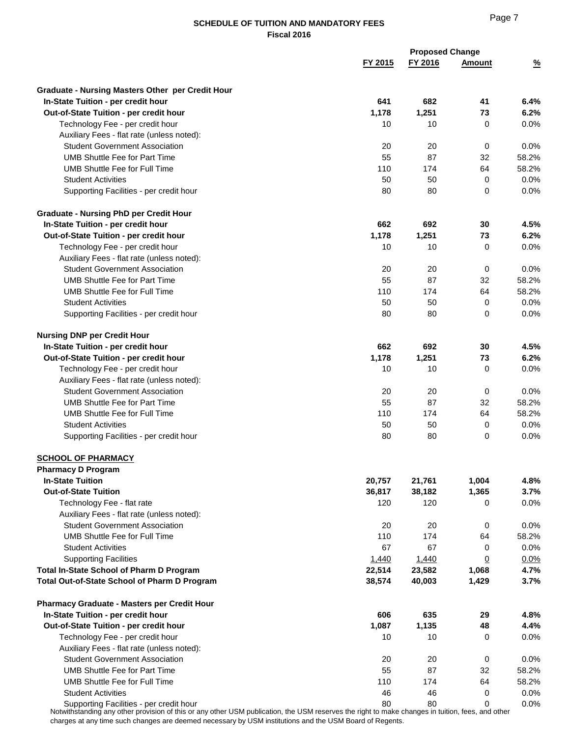|                                                                                                                                                  |         | <b>Proposed Change</b> |                |               |
|--------------------------------------------------------------------------------------------------------------------------------------------------|---------|------------------------|----------------|---------------|
|                                                                                                                                                  | FY 2015 | FY 2016                | <b>Amount</b>  | $\frac{9}{6}$ |
| <b>Graduate - Nursing Masters Other per Credit Hour</b>                                                                                          |         |                        |                |               |
| In-State Tuition - per credit hour                                                                                                               | 641     | 682                    | 41             | 6.4%          |
| Out-of-State Tuition - per credit hour                                                                                                           | 1,178   | 1,251                  | 73             | 6.2%          |
| Technology Fee - per credit hour                                                                                                                 | 10      | 10                     | 0              | 0.0%          |
| Auxiliary Fees - flat rate (unless noted):                                                                                                       |         |                        |                |               |
| <b>Student Government Association</b>                                                                                                            | 20      | 20                     | 0              | 0.0%          |
| <b>UMB Shuttle Fee for Part Time</b>                                                                                                             | 55      | 87                     | 32             | 58.2%         |
| UMB Shuttle Fee for Full Time                                                                                                                    | 110     | 174                    | 64             | 58.2%         |
| <b>Student Activities</b>                                                                                                                        | 50      | 50                     | 0              | 0.0%          |
| Supporting Facilities - per credit hour                                                                                                          | 80      | 80                     | 0              | 0.0%          |
| <b>Graduate - Nursing PhD per Credit Hour</b>                                                                                                    |         |                        |                |               |
| In-State Tuition - per credit hour                                                                                                               | 662     | 692                    | 30             | 4.5%          |
| Out-of-State Tuition - per credit hour                                                                                                           | 1,178   | 1,251                  | 73             | 6.2%          |
| Technology Fee - per credit hour                                                                                                                 | 10      | 10                     | 0              | 0.0%          |
| Auxiliary Fees - flat rate (unless noted):                                                                                                       |         |                        |                |               |
| <b>Student Government Association</b>                                                                                                            | 20      | 20                     | 0              | 0.0%          |
| <b>UMB Shuttle Fee for Part Time</b>                                                                                                             | 55      | 87                     | 32             | 58.2%         |
| UMB Shuttle Fee for Full Time                                                                                                                    | 110     | 174                    | 64             | 58.2%         |
| <b>Student Activities</b>                                                                                                                        | 50      | 50                     | 0              | 0.0%          |
| Supporting Facilities - per credit hour                                                                                                          | 80      | 80                     | 0              | 0.0%          |
| <b>Nursing DNP per Credit Hour</b>                                                                                                               |         |                        |                |               |
| In-State Tuition - per credit hour                                                                                                               | 662     | 692                    | 30             | 4.5%          |
| Out-of-State Tuition - per credit hour                                                                                                           | 1,178   | 1,251                  | 73             | 6.2%          |
| Technology Fee - per credit hour                                                                                                                 | 10      | 10                     | 0              | 0.0%          |
| Auxiliary Fees - flat rate (unless noted):                                                                                                       |         |                        |                |               |
| <b>Student Government Association</b>                                                                                                            | 20      | 20                     | 0              | 0.0%          |
| <b>UMB Shuttle Fee for Part Time</b>                                                                                                             | 55      | 87                     | 32             | 58.2%         |
| UMB Shuttle Fee for Full Time                                                                                                                    | 110     | 174                    | 64             | 58.2%         |
| <b>Student Activities</b>                                                                                                                        | 50      | 50                     | 0              | 0.0%          |
| Supporting Facilities - per credit hour                                                                                                          | 80      | 80                     | 0              | 0.0%          |
| <b>SCHOOL OF PHARMACY</b>                                                                                                                        |         |                        |                |               |
| <b>Pharmacy D Program</b>                                                                                                                        |         |                        |                |               |
| <b>In-State Tuition</b>                                                                                                                          | 20,757  | 21,761                 | 1,004          | 4.8%          |
| <b>Out-of-State Tuition</b>                                                                                                                      | 36,817  | 38,182                 | 1,365          | 3.7%          |
| Technology Fee - flat rate                                                                                                                       | 120     | 120                    | 0              | 0.0%          |
| Auxiliary Fees - flat rate (unless noted):                                                                                                       |         |                        |                |               |
| <b>Student Government Association</b>                                                                                                            | 20      | 20                     | 0              | 0.0%          |
| <b>UMB Shuttle Fee for Full Time</b>                                                                                                             | 110     | 174                    | 64             | 58.2%         |
| <b>Student Activities</b>                                                                                                                        | 67      | 67                     | 0              | 0.0%          |
| <b>Supporting Facilities</b>                                                                                                                     | 1,440   | 1,440                  | $\overline{0}$ | 0.0%          |
| Total In-State School of Pharm D Program                                                                                                         | 22,514  | 23,582                 | 1,068          | 4.7%          |
| Total Out-of-State School of Pharm D Program                                                                                                     | 38,574  | 40,003                 | 1,429          | 3.7%          |
| <b>Pharmacy Graduate - Masters per Credit Hour</b>                                                                                               |         |                        |                |               |
| In-State Tuition - per credit hour                                                                                                               | 606     | 635                    | 29             | 4.8%          |
| Out-of-State Tuition - per credit hour                                                                                                           | 1,087   | 1,135                  | 48             | 4.4%          |
| Technology Fee - per credit hour                                                                                                                 | 10      | 10                     | 0              | 0.0%          |
| Auxiliary Fees - flat rate (unless noted):                                                                                                       |         |                        |                |               |
| <b>Student Government Association</b>                                                                                                            | 20      | 20                     | 0              | 0.0%          |
| <b>UMB Shuttle Fee for Part Time</b>                                                                                                             | 55      | 87                     | 32             | 58.2%         |
| <b>UMB Shuttle Fee for Full Time</b>                                                                                                             | 110     | 174                    | 64             | 58.2%         |
| <b>Student Activities</b>                                                                                                                        | 46      | 46                     | 0              | 0.0%          |
| Supporting Facilities - per credit hour                                                                                                          | 80      | 80                     | $\Omega$       | 0.0%          |
| Notwithstanding any other provision of this or any other USM publication, the USM reserves the right to make changes in tuition, fees, and other |         |                        |                |               |

charges at any time such changes are deemed necessary by USM institutions and the USM Board of Regents.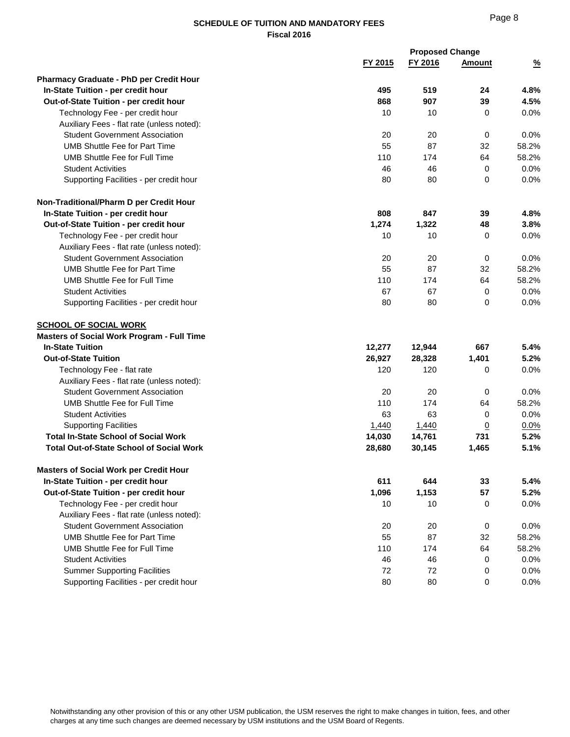|                                                   |         | <b>Proposed Change</b> |               |               |  |
|---------------------------------------------------|---------|------------------------|---------------|---------------|--|
|                                                   | FY 2015 | FY 2016                | <b>Amount</b> | $\frac{9}{6}$ |  |
| <b>Pharmacy Graduate - PhD per Credit Hour</b>    |         |                        |               |               |  |
| In-State Tuition - per credit hour                | 495     | 519                    | 24            | 4.8%          |  |
| Out-of-State Tuition - per credit hour            | 868     | 907                    | 39            | 4.5%          |  |
| Technology Fee - per credit hour                  | 10      | 10                     | 0             | 0.0%          |  |
| Auxiliary Fees - flat rate (unless noted):        |         |                        |               |               |  |
| <b>Student Government Association</b>             | 20      | 20                     | 0             | 0.0%          |  |
| <b>UMB Shuttle Fee for Part Time</b>              | 55      | 87                     | 32            | 58.2%         |  |
| UMB Shuttle Fee for Full Time                     | 110     | 174                    | 64            | 58.2%         |  |
| <b>Student Activities</b>                         | 46      | 46                     | $\mathbf 0$   | 0.0%          |  |
| Supporting Facilities - per credit hour           | 80      | 80                     | 0             | 0.0%          |  |
| Non-Traditional/Pharm D per Credit Hour           |         |                        |               |               |  |
| In-State Tuition - per credit hour                | 808     | 847                    | 39            | 4.8%          |  |
| Out-of-State Tuition - per credit hour            | 1,274   | 1,322                  | 48            | 3.8%          |  |
| Technology Fee - per credit hour                  | 10      | 10                     | 0             | 0.0%          |  |
| Auxiliary Fees - flat rate (unless noted):        |         |                        |               |               |  |
| <b>Student Government Association</b>             | 20      | 20                     | 0             | 0.0%          |  |
| <b>UMB Shuttle Fee for Part Time</b>              | 55      | 87                     | 32            | 58.2%         |  |
| UMB Shuttle Fee for Full Time                     | 110     | 174                    | 64            | 58.2%         |  |
| <b>Student Activities</b>                         | 67      | 67                     | 0             | 0.0%          |  |
| Supporting Facilities - per credit hour           | 80      | 80                     | 0             | 0.0%          |  |
| <b>SCHOOL OF SOCIAL WORK</b>                      |         |                        |               |               |  |
| <b>Masters of Social Work Program - Full Time</b> |         |                        |               |               |  |
| <b>In-State Tuition</b>                           | 12,277  | 12,944                 | 667           | 5.4%          |  |
| <b>Out-of-State Tuition</b>                       | 26,927  | 28,328                 | 1,401         | 5.2%          |  |
| Technology Fee - flat rate                        | 120     | 120                    | 0             | 0.0%          |  |
| Auxiliary Fees - flat rate (unless noted):        |         |                        |               |               |  |
| <b>Student Government Association</b>             | 20      | 20                     | 0             | 0.0%          |  |
| UMB Shuttle Fee for Full Time                     | 110     | 174                    | 64            | 58.2%         |  |
| <b>Student Activities</b>                         | 63      | 63                     | 0             | 0.0%          |  |
| <b>Supporting Facilities</b>                      | 1,440   | 1,440                  | $\Omega$      | 0.0%          |  |
| <b>Total In-State School of Social Work</b>       | 14,030  | 14,761                 | 731           | 5.2%          |  |
| <b>Total Out-of-State School of Social Work</b>   | 28,680  | 30,145                 | 1,465         | 5.1%          |  |
| <b>Masters of Social Work per Credit Hour</b>     |         |                        |               |               |  |
| In-State Tuition - per credit hour                | 611     | 644                    | 33            | 5.4%          |  |
| Out-of-State Tuition - per credit hour            | 1,096   | 1,153                  | 57            | 5.2%          |  |
| Technology Fee - per credit hour                  | 10      | 10                     | 0             | 0.0%          |  |
| Auxiliary Fees - flat rate (unless noted):        |         |                        |               |               |  |
| <b>Student Government Association</b>             | 20      | 20                     | 0             | 0.0%          |  |
| <b>UMB Shuttle Fee for Part Time</b>              | 55      | 87                     | 32            | 58.2%         |  |
| <b>UMB Shuttle Fee for Full Time</b>              | 110     | 174                    | 64            | 58.2%         |  |
| <b>Student Activities</b>                         | 46      | 46                     | 0             | 0.0%          |  |
| <b>Summer Supporting Facilities</b>               | 72      | 72                     | 0             | 0.0%          |  |
| Supporting Facilities - per credit hour           | 80      | 80                     | 0             | 0.0%          |  |